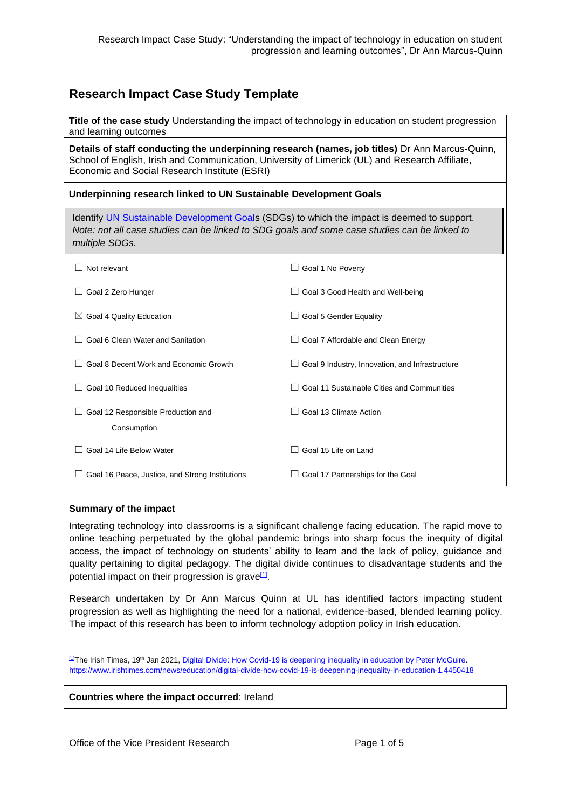# **Research Impact Case Study Template**

| Title of the case study Understanding the impact of technology in education on student progression<br>and learning outcomes                                                                                                                        |                                                        |
|----------------------------------------------------------------------------------------------------------------------------------------------------------------------------------------------------------------------------------------------------|--------------------------------------------------------|
| Details of staff conducting the underpinning research (names, job titles) Dr Ann Marcus-Quinn,<br>School of English, Irish and Communication, University of Limerick (UL) and Research Affiliate,<br>Economic and Social Research Institute (ESRI) |                                                        |
| Underpinning research linked to UN Sustainable Development Goals                                                                                                                                                                                   |                                                        |
| Identify UN Sustainable Development Goals (SDGs) to which the impact is deemed to support.<br>Note: not all case studies can be linked to SDG goals and some case studies can be linked to<br>multiple SDGs.                                       |                                                        |
| Not relevant                                                                                                                                                                                                                                       | Goal 1 No Poverty                                      |
| $\Box$ Goal 2 Zero Hunger                                                                                                                                                                                                                          | $\Box$ Goal 3 Good Health and Well-being               |
| $\boxtimes$ Goal 4 Quality Education                                                                                                                                                                                                               | $\Box$ Goal 5 Gender Equality                          |
| Goal 6 Clean Water and Sanitation                                                                                                                                                                                                                  | $\Box$ Goal 7 Affordable and Clean Energy              |
| Goal 8 Decent Work and Economic Growth                                                                                                                                                                                                             | $\Box$ Goal 9 Industry, Innovation, and Infrastructure |
| $\Box$ Goal 10 Reduced Inequalities                                                                                                                                                                                                                | Goal 11 Sustainable Cities and Communities             |
| Goal 12 Responsible Production and<br>Consumption                                                                                                                                                                                                  | Goal 13 Climate Action                                 |
| Goal 14 Life Below Water                                                                                                                                                                                                                           | Goal 15 Life on Land                                   |
| $\Box$ Goal 16 Peace, Justice, and Strong Institutions                                                                                                                                                                                             | $\Box$ Goal 17 Partnerships for the Goal               |

### **Summary of the impact**

Integrating technology into classrooms is a significant challenge facing education. The rapid move to online teaching perpetuated by the global pandemic brings into sharp focus the inequity of digital access, the impact of technology on students' ability to learn and the lack of policy, guidance and quality pertaining to digital pedagogy. The digital divide continues to disadvantage students and the potential impact on their progression is grave<sup>[\[1\]](https://euc-word-edit.officeapps.live.com/we/wordeditorframe.aspx?ui=en%2DUS&rs=en%2DIE&wopisrc=https%3A%2F%2Fulcampus.sharepoint.com%2Fsites%2FRESStrategyPolicy%2F_vti_bin%2Fwopi.ashx%2Ffiles%2F35934af7d7e640e48379828a6022ae9b&wdenableroaming=1&mscc=1&hid=E3C4B79F-3004-2000-ACBE-24A817CF4C7A&wdorigin=ItemsView&wdhostclicktime=1616688273769&jsapi=1&jsapiver=v1&newsession=1&corrid=94cfe8ee-8f48-4129-a30c-959aacdca09e&usid=94cfe8ee-8f48-4129-a30c-959aacdca09e&sftc=1&mtf=1&instantedit=1&wopicomplete=1&wdredirectionreason=Unified_SingleFlush&rct=Medium&ctp=LeastProtected#_ftn1)</sup>.

Research undertaken by Dr Ann Marcus Quinn at UL has identified factors impacting student progression as well as highlighting the need for a national, evidence-based, blended learning policy. The impact of this research has been to inform technology adoption policy in Irish education.

[\[1\]](https://euc-word-edit.officeapps.live.com/we/wordeditorframe.aspx?ui=en%2DUS&rs=en%2DIE&wopisrc=https%3A%2F%2Fulcampus.sharepoint.com%2Fsites%2FRESStrategyPolicy%2F_vti_bin%2Fwopi.ashx%2Ffiles%2F35934af7d7e640e48379828a6022ae9b&wdenableroaming=1&mscc=1&hid=E3C4B79F-3004-2000-ACBE-24A817CF4C7A&wdorigin=ItemsView&wdhostclicktime=1616688273769&jsapi=1&jsapiver=v1&newsession=1&corrid=94cfe8ee-8f48-4129-a30c-959aacdca09e&usid=94cfe8ee-8f48-4129-a30c-959aacdca09e&sftc=1&mtf=1&instantedit=1&wopicomplete=1&wdredirectionreason=Unified_SingleFlush&rct=Medium&ctp=LeastProtected#_ftnref1)The Irish Times, 19th Jan 2021, [Digital Divide: How Covid-19 is deepening inequality in education by Peter McGuire.](https://www.irishtimes.com/news/education/digital-divide-how-covid-19-is-deepening-inequality-in-education-1.4450418?utm_source=dlvr.it&utm_medium=twitter) <https://www.irishtimes.com/news/education/digital-divide-how-covid-19-is-deepening-inequality-in-education-1.4450418>

**Countries where the impact occurred**: Ireland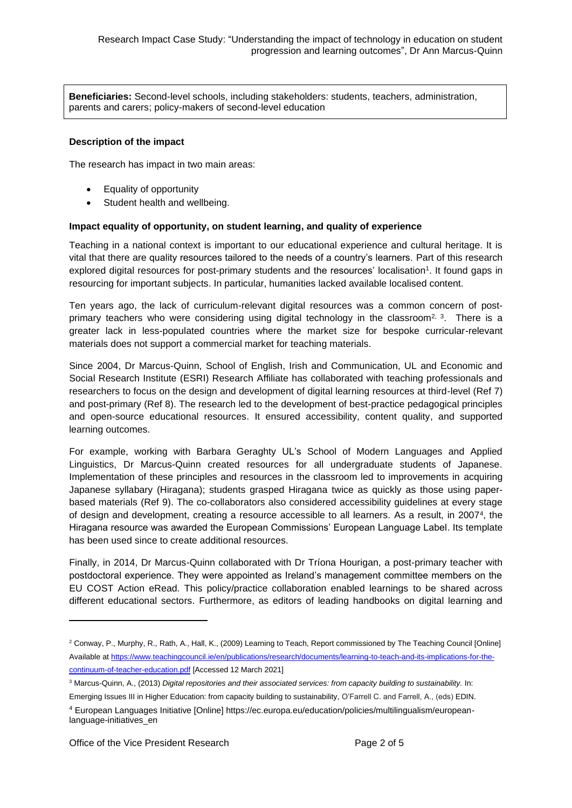**Beneficiaries:** Second-level schools, including stakeholders: students, teachers, administration, parents and carers; policy-makers of second-level education

### **Description of the impact**

The research has impact in two main areas:

- Equality of opportunity
- Student health and wellbeing.

#### **Impact equality of opportunity, on student learning, and quality of experience**

Teaching in a national context is important to our educational experience and cultural heritage. It is vital that there are quality resources tailored to the needs of a country's learners. Part of this research explored digital resources for post-primary students and the resources' localisation<sup>1</sup>. It found gaps in resourcing for important subjects. In particular, humanities lacked available localised content.

Ten years ago, the lack of curriculum-relevant digital resources was a common concern of postprimary teachers who were considering using digital technology in the classroom<sup>2, 3</sup>. There is a greater lack in less-populated countries where the market size for bespoke curricular-relevant materials does not support a commercial market for teaching materials.

Since 2004, Dr Marcus-Quinn, School of English, Irish and Communication, UL and Economic and Social Research Institute (ESRI) Research Affiliate has collaborated with teaching professionals and researchers to focus on the design and development of digital learning resources at third-level (Ref 7) and post-primary (Ref 8). The research led to the development of best-practice pedagogical principles and open-source educational resources. It ensured accessibility, content quality, and supported learning outcomes.

For example, working with Barbara Geraghty UL's School of Modern Languages and Applied Linguistics, Dr Marcus-Quinn created resources for all undergraduate students of Japanese. Implementation of these principles and resources in the classroom led to improvements in acquiring Japanese syllabary (Hiragana); students grasped Hiragana twice as quickly as those using paperbased materials (Ref 9). The co-collaborators also considered accessibility guidelines at every stage of design and development, creating a resource accessible to all learners. As a result, in 2007<sup>4</sup> , the Hiragana resource was awarded the European Commissions' European Language Label. Its template has been used since to create additional resources.

Finally, in 2014, Dr Marcus-Quinn collaborated with Dr Tríona Hourigan, a post-primary teacher with postdoctoral experience. They were appointed as Ireland's management committee members on the EU COST Action eRead. This policy/practice collaboration enabled learnings to be shared across different educational sectors. Furthermore, as editors of leading handbooks on digital learning and

<sup>2</sup> Conway, P., Murphy, R., Rath, A., Hall, K., (2009) Learning to Teach, Report commissioned by The Teaching Council [Online] Available a[t https://www.teachingcouncil.ie/en/publications/research/documents/learning-to-teach-and-its-implications-for-the](https://www.teachingcouncil.ie/en/publications/research/documents/learning-to-teach-and-its-implications-for-the-continuum-of-teacher-education.pdf)[continuum-of-teacher-education.pdf](https://www.teachingcouncil.ie/en/publications/research/documents/learning-to-teach-and-its-implications-for-the-continuum-of-teacher-education.pdf) [Accessed 12 March 2021]

<sup>3</sup> Marcus-Quinn, A., (2013) *Digital repositories and their associated services: from capacity building to sustainability.* In:

Emerging Issues III in Higher Education: from capacity building to sustainability, O'Farrell C. and Farrell, A., (eds) EDIN. <sup>4</sup> European Languages Initiative [Online] https://ec.europa.eu/education/policies/multilingualism/europeanlanguage-initiatives\_en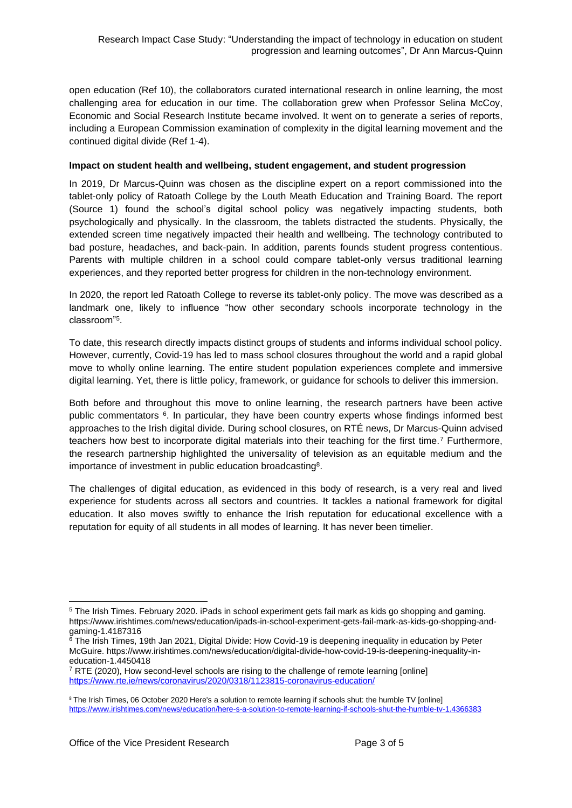open education (Ref 10), the collaborators curated international research in online learning, the most challenging area for education in our time. The collaboration grew when Professor Selina McCoy, Economic and Social Research Institute became involved. It went on to generate a series of reports, including a European Commission examination of complexity in the digital learning movement and the continued digital divide (Ref 1-4).

### **Impact on student health and wellbeing, student engagement, and student progression**

In 2019, Dr Marcus-Quinn was chosen as the discipline expert on a report commissioned into the tablet-only policy of Ratoath College by the Louth Meath Education and Training Board. The report (Source 1) found the school's digital school policy was negatively impacting students, both psychologically and physically. In the classroom, the tablets distracted the students. Physically, the extended screen time negatively impacted their health and wellbeing. The technology contributed to bad posture, headaches, and back-pain. In addition, parents founds student progress contentious. Parents with multiple children in a school could compare tablet-only versus traditional learning experiences, and they reported better progress for children in the non-technology environment.

In 2020, the report led Ratoath College to reverse its tablet-only policy. The move was described as a landmark one, likely to influence "how other secondary schools incorporate technology in the classroom"<sup>5</sup> .

To date, this research directly impacts distinct groups of students and informs individual school policy. However, currently, Covid-19 has led to mass school closures throughout the world and a rapid global move to wholly online learning. The entire student population experiences complete and immersive digital learning. Yet, there is little policy, framework, or guidance for schools to deliver this immersion.

Both before and throughout this move to online learning, the research partners have been active public commentators <sup>6</sup>. In particular, they have been country experts whose findings informed best approaches to the Irish digital divide. During school closures, on RTÉ news, Dr Marcus-Quinn advised teachers how best to incorporate digital materials into their teaching for the first time.<sup>7</sup> Furthermore, the research partnership highlighted the universality of television as an equitable medium and the importance of investment in public education broadcasting<sup>8</sup>.

The challenges of digital education, as evidenced in this body of research, is a very real and lived experience for students across all sectors and countries. It tackles a national framework for digital education. It also moves swiftly to enhance the Irish reputation for educational excellence with a reputation for equity of all students in all modes of learning. It has never been timelier.

<sup>5</sup> The Irish Times. February 2020. iPads in school experiment gets fail mark as kids go shopping and gaming. https://www.irishtimes.com/news/education/ipads-in-school-experiment-gets-fail-mark-as-kids-go-shopping-andgaming-1.4187316

<sup>&</sup>lt;sup>6</sup> The Irish Times, 19th Jan 2021, Digital Divide: How Covid-19 is deepening inequality in education by Peter McGuire. https://www.irishtimes.com/news/education/digital-divide-how-covid-19-is-deepening-inequality-ineducation-1.4450418

 $7$  RTE (2020), How second-level schools are rising to the challenge of remote learning [online] <https://www.rte.ie/news/coronavirus/2020/0318/1123815-coronavirus-education/>

<sup>&</sup>lt;sup>8</sup> The Irish Times, 06 October 2020 Here's a solution to remote learning if schools shut: the humble TV [online] <https://www.irishtimes.com/news/education/here-s-a-solution-to-remote-learning-if-schools-shut-the-humble-tv-1.4366383>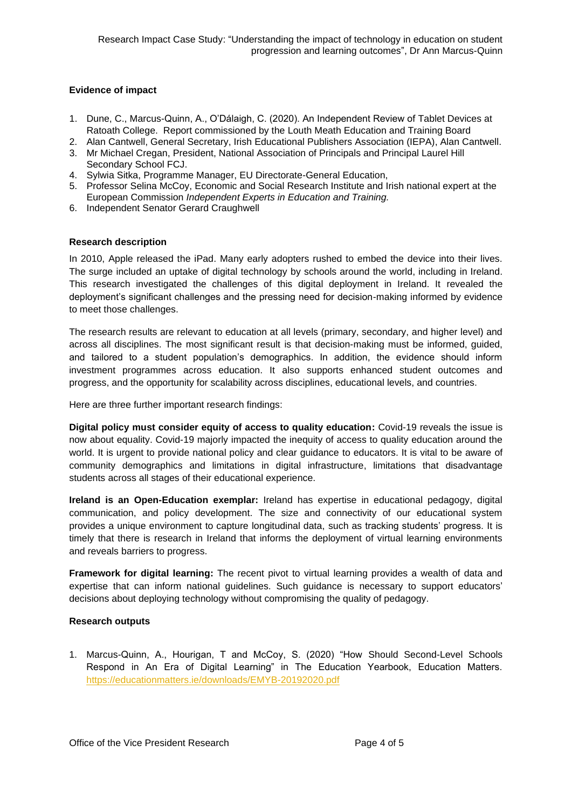## **Evidence of impact**

- 1. Dune, C., Marcus-Quinn, A., O'Dálaigh, C. (2020). An Independent Review of Tablet Devices at Ratoath College. Report commissioned by the Louth Meath Education and Training Board
- 2. Alan Cantwell, General Secretary, Irish Educational Publishers Association (IEPA), Alan Cantwell.
- 3. Mr Michael Cregan, President, National Association of Principals and Principal Laurel Hill Secondary School FCJ.
- 4. Sylwia Sitka, Programme Manager, EU Directorate-General Education,
- 5. Professor Selina McCoy, Economic and Social Research Institute and Irish national expert at the European Commission *Independent Experts in Education and Training.*
- 6. Independent Senator Gerard Craughwell

### **Research description**

In 2010, Apple released the iPad. Many early adopters rushed to embed the device into their lives. The surge included an uptake of digital technology by schools around the world, including in Ireland. This research investigated the challenges of this digital deployment in Ireland. It revealed the deployment's significant challenges and the pressing need for decision-making informed by evidence to meet those challenges.

The research results are relevant to education at all levels (primary, secondary, and higher level) and across all disciplines. The most significant result is that decision-making must be informed, guided, and tailored to a student population's demographics. In addition, the evidence should inform investment programmes across education. It also supports enhanced student outcomes and progress, and the opportunity for scalability across disciplines, educational levels, and countries.

Here are three further important research findings:

**Digital policy must consider equity of access to quality education:** Covid-19 reveals the issue is now about equality. Covid-19 majorly impacted the inequity of access to quality education around the world. It is urgent to provide national policy and clear guidance to educators. It is vital to be aware of community demographics and limitations in digital infrastructure, limitations that disadvantage students across all stages of their educational experience.

**Ireland is an Open-Education exemplar:** Ireland has expertise in educational pedagogy, digital communication, and policy development. The size and connectivity of our educational system provides a unique environment to capture longitudinal data, such as tracking students' progress. It is timely that there is research in Ireland that informs the deployment of virtual learning environments and reveals barriers to progress.

**Framework for digital learning:** The recent pivot to virtual learning provides a wealth of data and expertise that can inform national guidelines. Such guidance is necessary to support educators' decisions about deploying technology without compromising the quality of pedagogy.

### **Research outputs**

1. Marcus-Quinn, A., Hourigan, T and McCoy, S. (2020) "How Should Second-Level Schools Respond in An Era of Digital Learning" in The Education Yearbook, Education Matters. <https://educationmatters.ie/downloads/EMYB-20192020.pdf>